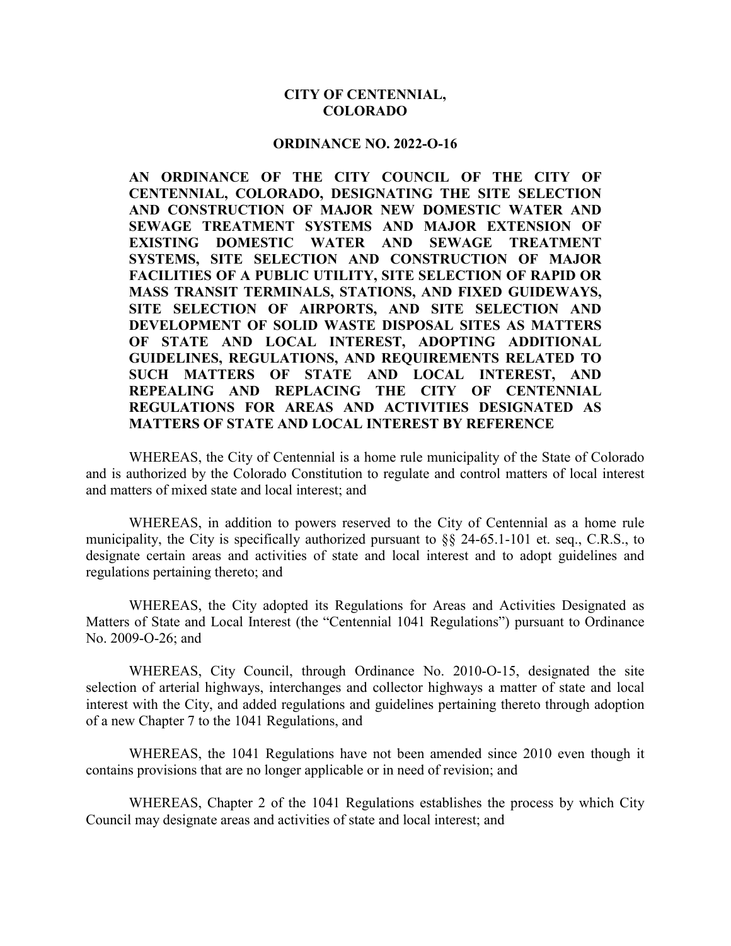## **CITY OF CENTENNIAL, COLORADO**

#### **ORDINANCE NO. 2022-O-16**

**AN ORDINANCE OF THE CITY COUNCIL OF THE CITY OF CENTENNIAL, COLORADO, DESIGNATING THE SITE SELECTION AND CONSTRUCTION OF MAJOR NEW DOMESTIC WATER AND SEWAGE TREATMENT SYSTEMS AND MAJOR EXTENSION OF EXISTING DOMESTIC WATER AND SEWAGE TREATMENT SYSTEMS, SITE SELECTION AND CONSTRUCTION OF MAJOR FACILITIES OF A PUBLIC UTILITY, SITE SELECTION OF RAPID OR MASS TRANSIT TERMINALS, STATIONS, AND FIXED GUIDEWAYS, SITE SELECTION OF AIRPORTS, AND SITE SELECTION AND DEVELOPMENT OF SOLID WASTE DISPOSAL SITES AS MATTERS OF STATE AND LOCAL INTEREST, ADOPTING ADDITIONAL GUIDELINES, REGULATIONS, AND REQUIREMENTS RELATED TO SUCH MATTERS OF STATE AND LOCAL INTEREST, AND REPEALING AND REPLACING THE CITY OF CENTENNIAL REGULATIONS FOR AREAS AND ACTIVITIES DESIGNATED AS MATTERS OF STATE AND LOCAL INTEREST BY REFERENCE**

WHEREAS, the City of Centennial is a home rule municipality of the State of Colorado and is authorized by the Colorado Constitution to regulate and control matters of local interest and matters of mixed state and local interest; and

WHEREAS, in addition to powers reserved to the City of Centennial as a home rule municipality, the City is specifically authorized pursuant to §§ 24-65.1-101 et. seq., C.R.S., to designate certain areas and activities of state and local interest and to adopt guidelines and regulations pertaining thereto; and

WHEREAS, the City adopted its Regulations for Areas and Activities Designated as Matters of State and Local Interest (the "Centennial 1041 Regulations") pursuant to Ordinance No. 2009-O-26; and

WHEREAS, City Council, through Ordinance No. 2010-O-15, designated the site selection of arterial highways, interchanges and collector highways a matter of state and local interest with the City, and added regulations and guidelines pertaining thereto through adoption of a new Chapter 7 to the 1041 Regulations, and

WHEREAS, the 1041 Regulations have not been amended since 2010 even though it contains provisions that are no longer applicable or in need of revision; and

WHEREAS, Chapter 2 of the 1041 Regulations establishes the process by which City Council may designate areas and activities of state and local interest; and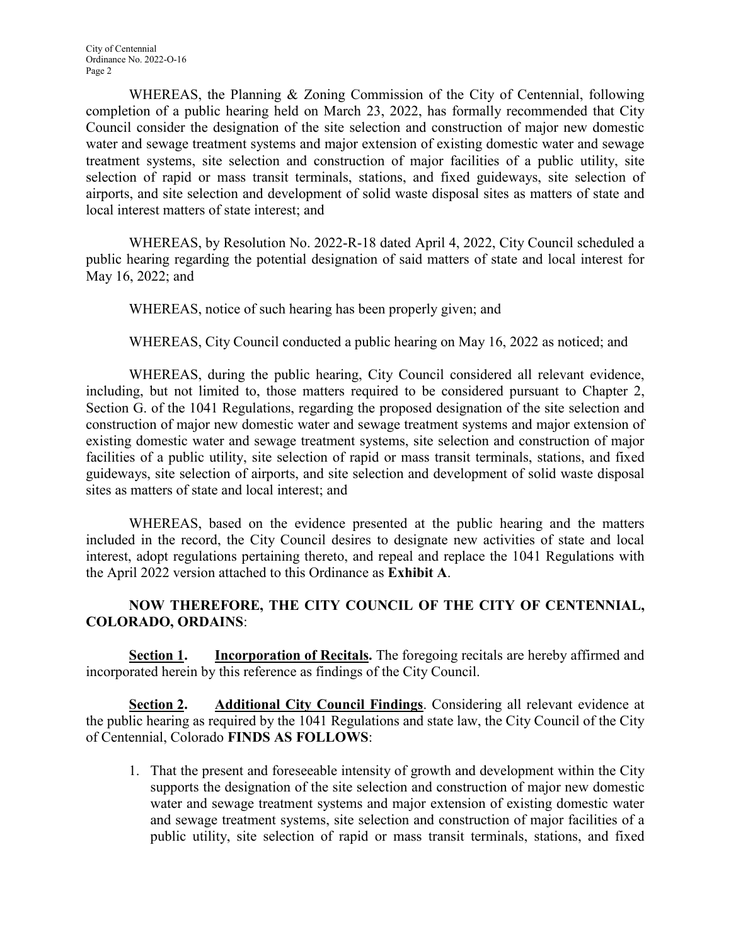WHEREAS, the Planning & Zoning Commission of the City of Centennial, following completion of a public hearing held on March 23, 2022, has formally recommended that City Council consider the designation of the site selection and construction of major new domestic water and sewage treatment systems and major extension of existing domestic water and sewage treatment systems, site selection and construction of major facilities of a public utility, site selection of rapid or mass transit terminals, stations, and fixed guideways, site selection of airports, and site selection and development of solid waste disposal sites as matters of state and local interest matters of state interest; and

WHEREAS, by Resolution No. 2022-R-18 dated April 4, 2022, City Council scheduled a public hearing regarding the potential designation of said matters of state and local interest for May 16, 2022; and

WHEREAS, notice of such hearing has been properly given; and

WHEREAS, City Council conducted a public hearing on May 16, 2022 as noticed; and

WHEREAS, during the public hearing, City Council considered all relevant evidence, including, but not limited to, those matters required to be considered pursuant to Chapter 2, Section G. of the 1041 Regulations, regarding the proposed designation of the site selection and construction of major new domestic water and sewage treatment systems and major extension of existing domestic water and sewage treatment systems, site selection and construction of major facilities of a public utility, site selection of rapid or mass transit terminals, stations, and fixed guideways, site selection of airports, and site selection and development of solid waste disposal sites as matters of state and local interest; and

WHEREAS, based on the evidence presented at the public hearing and the matters included in the record, the City Council desires to designate new activities of state and local interest, adopt regulations pertaining thereto, and repeal and replace the 1041 Regulations with the April 2022 version attached to this Ordinance as **Exhibit A**.

# **NOW THEREFORE, THE CITY COUNCIL OF THE CITY OF CENTENNIAL, COLORADO, ORDAINS**:

**Section 1. Incorporation of Recitals.** The foregoing recitals are hereby affirmed and incorporated herein by this reference as findings of the City Council.

**Section 2. Additional City Council Findings**. Considering all relevant evidence at the public hearing as required by the 1041 Regulations and state law, the City Council of the City of Centennial, Colorado **FINDS AS FOLLOWS**:

1. That the present and foreseeable intensity of growth and development within the City supports the designation of the site selection and construction of major new domestic water and sewage treatment systems and major extension of existing domestic water and sewage treatment systems, site selection and construction of major facilities of a public utility, site selection of rapid or mass transit terminals, stations, and fixed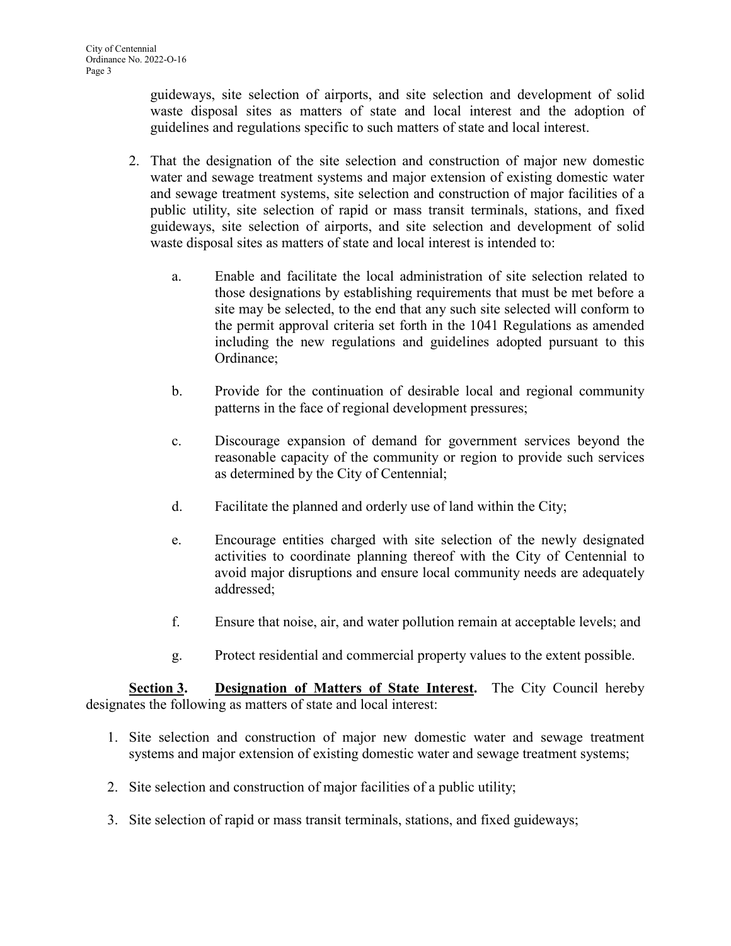guideways, site selection of airports, and site selection and development of solid waste disposal sites as matters of state and local interest and the adoption of guidelines and regulations specific to such matters of state and local interest.

- 2. That the designation of the site selection and construction of major new domestic water and sewage treatment systems and major extension of existing domestic water and sewage treatment systems, site selection and construction of major facilities of a public utility, site selection of rapid or mass transit terminals, stations, and fixed guideways, site selection of airports, and site selection and development of solid waste disposal sites as matters of state and local interest is intended to:
	- a. Enable and facilitate the local administration of site selection related to those designations by establishing requirements that must be met before a site may be selected, to the end that any such site selected will conform to the permit approval criteria set forth in the 1041 Regulations as amended including the new regulations and guidelines adopted pursuant to this Ordinance;
	- b. Provide for the continuation of desirable local and regional community patterns in the face of regional development pressures;
	- c. Discourage expansion of demand for government services beyond the reasonable capacity of the community or region to provide such services as determined by the City of Centennial;
	- d. Facilitate the planned and orderly use of land within the City;
	- e. Encourage entities charged with site selection of the newly designated activities to coordinate planning thereof with the City of Centennial to avoid major disruptions and ensure local community needs are adequately addressed;
	- f. Ensure that noise, air, and water pollution remain at acceptable levels; and
	- g. Protect residential and commercial property values to the extent possible.

**Section 3. Designation of Matters of State Interest.** The City Council hereby designates the following as matters of state and local interest:

- 1. Site selection and construction of major new domestic water and sewage treatment systems and major extension of existing domestic water and sewage treatment systems;
- 2. Site selection and construction of major facilities of a public utility;
- 3. Site selection of rapid or mass transit terminals, stations, and fixed guideways;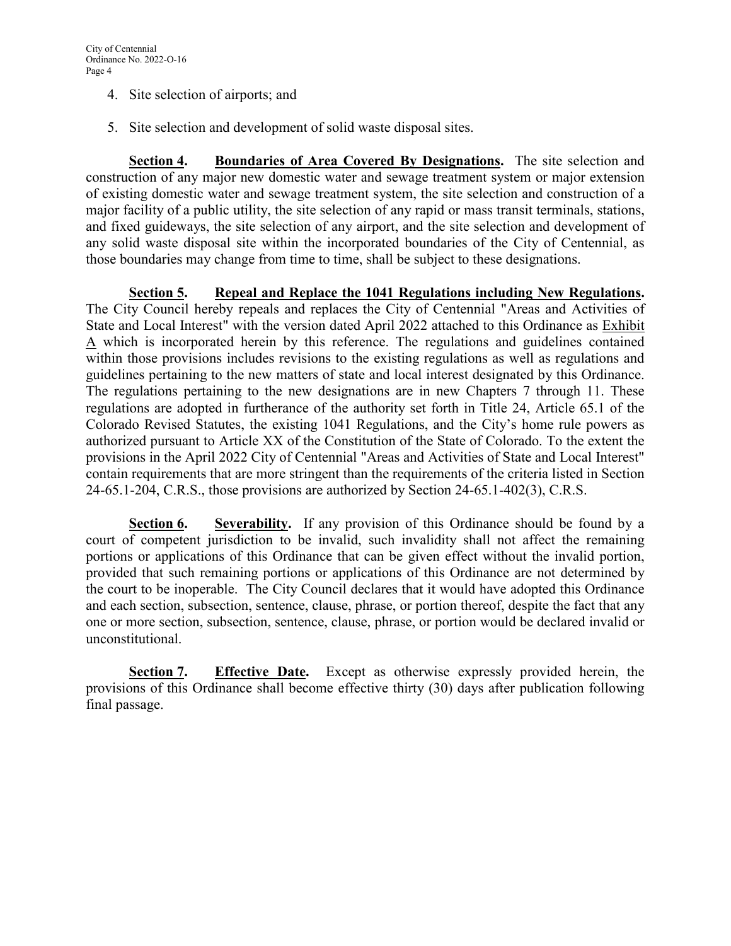- 4. Site selection of airports; and
- 5. Site selection and development of solid waste disposal sites.

**Section 4. Boundaries of Area Covered By Designations.** The site selection and construction of any major new domestic water and sewage treatment system or major extension of existing domestic water and sewage treatment system, the site selection and construction of a major facility of a public utility, the site selection of any rapid or mass transit terminals, stations, and fixed guideways, the site selection of any airport, and the site selection and development of any solid waste disposal site within the incorporated boundaries of the City of Centennial, as those boundaries may change from time to time, shall be subject to these designations.

**Section 5. Repeal and Replace the 1041 Regulations including New Regulations.** The City Council hereby repeals and replaces the City of Centennial "Areas and Activities of State and Local Interest" with the version dated April 2022 attached to this Ordinance as Exhibit A which is incorporated herein by this reference. The regulations and guidelines contained within those provisions includes revisions to the existing regulations as well as regulations and guidelines pertaining to the new matters of state and local interest designated by this Ordinance. The regulations pertaining to the new designations are in new Chapters 7 through 11. These regulations are adopted in furtherance of the authority set forth in Title 24, Article 65.1 of the Colorado Revised Statutes, the existing 1041 Regulations, and the City's home rule powers as authorized pursuant to Article XX of the Constitution of the State of Colorado. To the extent the provisions in the April 2022 City of Centennial "Areas and Activities of State and Local Interest" contain requirements that are more stringent than the requirements of the criteria listed in Section 24-65.1-204, C.R.S., those provisions are authorized by Section 24-65.1-402(3), C.R.S.

**Section 6. Severability.** If any provision of this Ordinance should be found by a court of competent jurisdiction to be invalid, such invalidity shall not affect the remaining portions or applications of this Ordinance that can be given effect without the invalid portion, provided that such remaining portions or applications of this Ordinance are not determined by the court to be inoperable. The City Council declares that it would have adopted this Ordinance and each section, subsection, sentence, clause, phrase, or portion thereof, despite the fact that any one or more section, subsection, sentence, clause, phrase, or portion would be declared invalid or unconstitutional.

**Section 7. Effective Date.** Except as otherwise expressly provided herein, the provisions of this Ordinance shall become effective thirty (30) days after publication following final passage.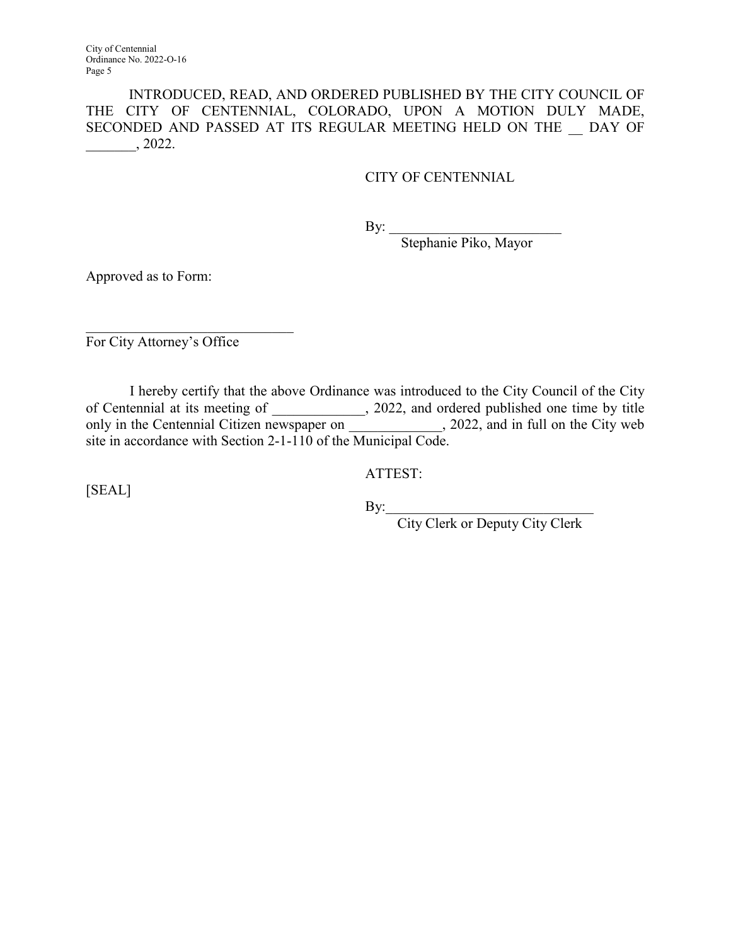City of Centennial Ordinance No. 2022-O-16 Page 5

INTRODUCED, READ, AND ORDERED PUBLISHED BY THE CITY COUNCIL OF THE CITY OF CENTENNIAL, COLORADO, UPON A MOTION DULY MADE, SECONDED AND PASSED AT ITS REGULAR MEETING HELD ON THE \_\_ DAY OF  $\frac{1}{2022}$ .

## CITY OF CENTENNIAL

By: \_\_\_\_\_\_\_\_\_\_\_\_\_\_\_\_\_\_\_\_\_\_\_\_

Stephanie Piko, Mayor

Approved as to Form:

 $\overline{\phantom{a}}$  , and the set of the set of the set of the set of the set of the set of the set of the set of the set of the set of the set of the set of the set of the set of the set of the set of the set of the set of the s For City Attorney's Office

 I hereby certify that the above Ordinance was introduced to the City Council of the City of Centennial at its meeting of \_\_\_\_\_\_\_\_\_\_\_\_\_, 2022, and ordered published one time by title only in the Centennial Citizen newspaper on \_\_\_\_\_\_\_\_\_\_\_, 2022, and in full on the City web site in accordance with Section 2-1-110 of the Municipal Code.

ATTEST:

[SEAL]

 $\text{By:}\n \begin{array}{c}\n \text{By:}\n \end{array}$ 

City Clerk or Deputy City Clerk